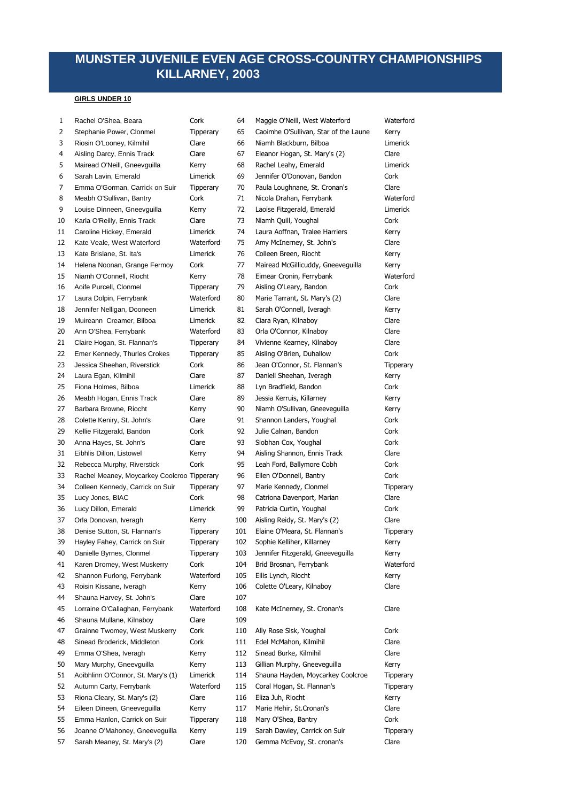# **MUNSTER JUVENILE EVEN AGE CROSS-COUNTRY CHAMPIONSHIPS KILLARNEY, 2003**

| 1  | Rachel O'Shea, Beara                        | Cork             | 64  | Maggie O'Neill, West Waterford        | Waterford        |
|----|---------------------------------------------|------------------|-----|---------------------------------------|------------------|
| 2  | Stephanie Power, Clonmel                    | Tipperary        | 65  | Caoimhe O'Sullivan, Star of the Laune | Kerry            |
| 3  | Riosin O'Looney, Kilmihil                   | Clare            | 66  | Niamh Blackburn, Bilboa               | Limerick         |
| 4  | Aisling Darcy, Ennis Track                  | Clare            | 67  | Eleanor Hogan, St. Mary's (2)         | Clare            |
| 5  | Mairead O'Neill, Gneevguilla                | Kerry            | 68  | Rachel Leahy, Emerald                 | Limerick         |
| 6  | Sarah Lavin, Emerald                        | Limerick         | 69  | Jennifer O'Donovan, Bandon            | Cork             |
| 7  | Emma O'Gorman, Carrick on Suir              | Tipperary        | 70  | Paula Loughnane, St. Cronan's         | Clare            |
| 8  | Meabh O'Sullivan, Bantry                    | Cork             | 71  | Nicola Drahan, Ferrybank              | Waterford        |
| 9  | Louise Dinneen, Gneevguilla                 | Kerry            | 72  | Laoise Fitzgerald, Emerald            | Limerick         |
| 10 | Karla O'Reilly, Ennis Track                 | Clare            | 73  | Niamh Quill, Youghal                  | Cork             |
| 11 | Caroline Hickey, Emerald                    | Limerick         | 74  | Laura Aoffnan, Tralee Harriers        | Kerry            |
| 12 | Kate Veale, West Waterford                  | Waterford        | 75  | Amy McInerney, St. John's             | Clare            |
| 13 | Kate Brislane, St. Ita's                    | Limerick         | 76  | Colleen Breen, Riocht                 | Kerry            |
| 14 | Helena Noonan, Grange Fermoy                | Cork             | 77  | Mairead McGillicuddy, Gneeveguilla    | Kerry            |
| 15 | Niamh O'Connell, Riocht                     | Kerry            | 78  | Eimear Cronin, Ferrybank              | Waterford        |
| 16 | Aoife Purcell, Clonmel                      | Tipperary        | 79  | Aisling O'Leary, Bandon               | Cork             |
| 17 | Laura Dolpin, Ferrybank                     | Waterford        | 80  | Marie Tarrant, St. Mary's (2)         | Clare            |
| 18 | Jennifer Nelligan, Dooneen                  | Limerick         | 81  | Sarah O'Connell, Iveragh              | Kerry            |
| 19 | Muireann Creamer, Bilboa                    | Limerick         | 82  | Ciara Ryan, Kilnaboy                  | Clare            |
| 20 | Ann O'Shea, Ferrybank                       | Waterford        | 83  | Orla O'Connor, Kilnaboy               | Clare            |
| 21 | Claire Hogan, St. Flannan's                 | Tipperary        | 84  | Vivienne Kearney, Kilnaboy            | Clare            |
| 22 | Emer Kennedy, Thurles Crokes                | Tipperary        | 85  | Aisling O'Brien, Duhallow             | Cork             |
| 23 | Jessica Sheehan, Riverstick                 | Cork             | 86  | Jean O'Connor, St. Flannan's          | <b>Tipperary</b> |
| 24 | Laura Egan, Kilmihil                        | Clare            | 87  | Daniell Sheehan, Iveragh              | Kerry            |
| 25 | Fiona Holmes, Bilboa                        | Limerick         | 88  | Lyn Bradfield, Bandon                 | Cork             |
| 26 | Meabh Hogan, Ennis Track                    | Clare            | 89  | Jessia Kerruis, Killarney             | Kerry            |
| 27 | Barbara Browne, Riocht                      | Kerry            | 90  | Niamh O'Sullivan, Gneeveguilla        | Kerry            |
| 28 | Colette Keniry, St. John's                  | Clare            | 91  | Shannon Landers, Youghal              | Cork             |
| 29 | Kellie Fitzgerald, Bandon                   | Cork             | 92  | Julie Calnan, Bandon                  | Cork             |
| 30 | Anna Hayes, St. John's                      | Clare            | 93  | Siobhan Cox, Youghal                  | Cork             |
| 31 | Eibhlis Dillon, Listowel                    | Kerry            | 94  | Aisling Shannon, Ennis Track          | Clare            |
| 32 | Rebecca Murphy, Riverstick                  | Cork             | 95  | Leah Ford, Ballymore Cobh             | Cork             |
| 33 | Rachel Meaney, Moycarkey Coolcroo Tipperary |                  | 96  | Ellen O'Donnell, Bantry               | Cork             |
| 34 | Colleen Kennedy, Carrick on Suir            | Tipperary        | 97  | Marie Kennedy, Clonmel                | <b>Tipperary</b> |
| 35 | Lucy Jones, BIAC                            | Cork             | 98  | Catriona Davenport, Marian            | Clare            |
| 36 | Lucy Dillon, Emerald                        | Limerick         | 99  | Patricia Curtin, Youghal              | Cork             |
| 37 | Orla Donovan, Iveragh                       | Kerry            | 100 | Aisling Reidy, St. Mary's (2)         | Clare            |
| 38 | Denise Sutton, St. Flannan's                | Tipperary        | 101 | Elaine O'Meara, St. Flannan's         | <b>Tipperary</b> |
| 39 | Hayley Fahey, Carrick on Suir               | Tipperary        | 102 | Sophie Kelliher, Killarney            | Kerry            |
| 40 | Danielle Byrnes, Clonmel                    | Tipperary        | 103 | Jennifer Fitzgerald, Gneeveguilla     | Kerry            |
| 41 | Karen Dromey, West Muskerry                 | Cork             | 104 | Brid Brosnan, Ferrybank               | Waterford        |
| 42 | Shannon Furlong, Ferrybank                  | Waterford        | 105 | Eilis Lynch, Riocht                   | Kerry            |
| 43 | Roisin Kissane, Iveragh                     | Kerry            | 106 | Colette O'Leary, Kilnaboy             | Clare            |
| 44 | Shauna Harvey, St. John's                   | Clare            | 107 |                                       |                  |
| 45 | Lorraine O'Callaghan, Ferrybank             | Waterford        | 108 | Kate McInerney, St. Cronan's          | Clare            |
| 46 | Shauna Mullane, Kilnaboy                    | Clare            | 109 |                                       |                  |
| 47 | Grainne Twomey, West Muskerry               | Cork             | 110 | Ally Rose Sisk, Youghal               | Cork             |
| 48 | Sinead Broderick, Middleton                 | Cork             | 111 | Edel McMahon, Kilmihil                | Clare            |
| 49 | Emma O'Shea, Iveragh                        | Kerry            | 112 | Sinead Burke, Kilmihil                | Clare            |
| 50 | Mary Murphy, Gneevguilla                    | Kerry            | 113 | Gillian Murphy, Gneeveguilla          | Kerry            |
| 51 | Aoibhlinn O'Connor, St. Mary's (1)          | Limerick         | 114 | Shauna Hayden, Moycarkey Coolcroe     | <b>Tipperary</b> |
| 52 | Autumn Carty, Ferrybank                     | Waterford        | 115 | Coral Hogan, St. Flannan's            | <b>Tipperary</b> |
| 53 | Riona Cleary, St. Mary's (2)                | Clare            | 116 | Eliza Juh, Riocht                     | Kerry            |
| 54 | Eileen Dineen, Gneeveguilla                 | Kerry            | 117 | Marie Hehir, St.Cronan's              | Clare            |
| 55 | Emma Hanlon, Carrick on Suir                | <b>Tipperary</b> | 118 | Mary O'Shea, Bantry                   | Cork             |
| 56 | Joanne O'Mahoney, Gneeveguilla              | Kerry            | 119 | Sarah Dawley, Carrick on Suir         | Tipperary        |
| 57 | Sarah Meaney, St. Mary's (2)                | Clare            | 120 | Gemma McEvoy, St. cronan's            | Clare            |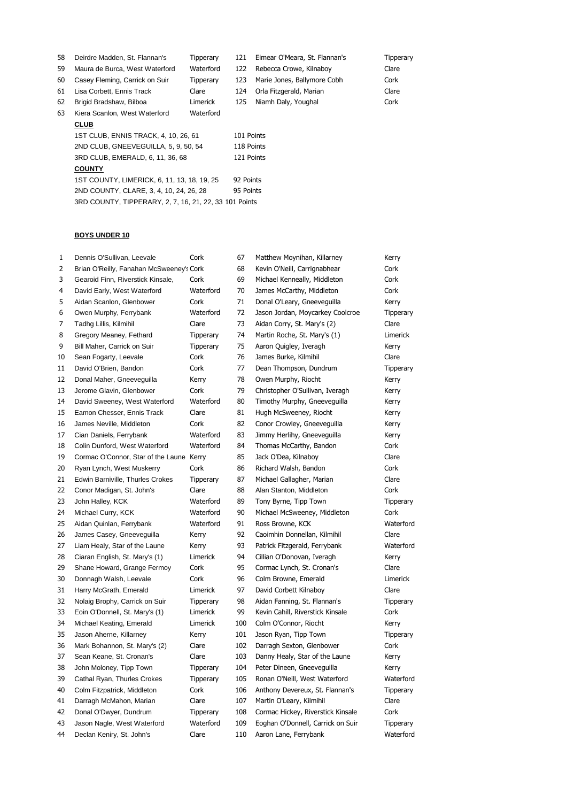| 58 | Deirdre Madden, St. Flannan's                          | Tipperary | 121        | Eimear O'Meara, St. Flannan's | Tipperary |  |
|----|--------------------------------------------------------|-----------|------------|-------------------------------|-----------|--|
| 59 | Maura de Burca, West Waterford                         | Waterford | 122        | Rebecca Crowe, Kilnaboy       | Clare     |  |
| 60 | Casey Fleming, Carrick on Suir                         | Tipperary | 123        | Marie Jones, Ballymore Cobh   | Cork      |  |
| 61 | Lisa Corbett, Ennis Track                              | Clare     | 124        | Orla Fitzgerald, Marian       | Clare     |  |
| 62 | Brigid Bradshaw, Bilboa                                | Limerick  | 125        | Niamh Daly, Youghal           | Cork      |  |
| 63 | Kiera Scanlon, West Waterford                          | Waterford |            |                               |           |  |
|    | <b>CLUB</b>                                            |           |            |                               |           |  |
|    | 1ST CLUB. ENNIS TRACK, 4, 10, 26, 61                   |           | 101 Points |                               |           |  |
|    | 2ND CLUB, GNEEVEGUILLA, 5, 9, 50, 54                   |           |            | 118 Points                    |           |  |
|    | 3RD CLUB, EMERALD, 6, 11, 36, 68                       |           | 121 Points |                               |           |  |
|    | <b>COUNTY</b>                                          |           |            |                               |           |  |
|    | 1ST COUNTY, LIMERICK, 6, 11, 13, 18, 19, 25            |           | 92 Points  |                               |           |  |
|    | 2ND COUNTY, CLARE, 3, 4, 10, 24, 26, 28                |           | 95 Points  |                               |           |  |
|    | 3RD COUNTY, TIPPERARY, 2, 7, 16, 21, 22, 33 101 Points |           |            |                               |           |  |

| $\mathbf{1}$ | Dennis O'Sullivan, Leevale               | Cork             | 67  | Matthew Moynihan, Killarney       | Kerry            |
|--------------|------------------------------------------|------------------|-----|-----------------------------------|------------------|
| 2            | Brian O'Reilly, Fanahan McSweeney's Cork |                  | 68  | Kevin O'Neill, Carrignabhear      | Cork             |
| 3            | Gearoid Finn, Riverstick Kinsale,        | Cork             | 69  | Michael Kenneally, Middleton      | Cork             |
| 4            | David Early, West Waterford              | Waterford        | 70  | James McCarthy, Middleton         | Cork             |
| 5            | Aidan Scanlon, Glenbower                 | Cork             | 71  | Donal O'Leary, Gneeveguilla       | Kerry            |
| 6            | Owen Murphy, Ferrybank                   | Waterford        | 72  | Jason Jordan, Moycarkey Coolcroe  | Tipperary        |
| 7            | Tadhg Lillis, Kilmihil                   | Clare            | 73  | Aidan Corry, St. Mary's (2)       | Clare            |
| 8            | Gregory Meaney, Fethard                  | Tipperary        | 74  | Martin Roche, St. Mary's (1)      | Limerick         |
| 9            | Bill Maher, Carrick on Suir              | Tipperary        | 75  | Aaron Quigley, Iveragh            | Kerry            |
| 10           | Sean Fogarty, Leevale                    | Cork             | 76  | James Burke, Kilmihil             | Clare            |
| 11           | David O'Brien, Bandon                    | Cork             | 77  | Dean Thompson, Dundrum            | Tipperary        |
| 12           | Donal Maher, Gneeveguilla                | Kerry            | 78  | Owen Murphy, Riocht               | Kerry            |
| 13           | Jerome Glavin, Glenbower                 | Cork             | 79  | Christopher O'Sullivan, Iveragh   | Kerry            |
| 14           | David Sweeney, West Waterford            | Waterford        | 80  | Timothy Murphy, Gneeveguilla      | Kerry            |
| 15           | Eamon Chesser, Ennis Track               | Clare            | 81  | Hugh McSweeney, Riocht            | Kerry            |
| 16           | James Neville, Middleton                 | Cork             | 82  | Conor Crowley, Gneeveguilla       | Kerry            |
| 17           | Cian Daniels, Ferrybank                  | Waterford        | 83  | Jimmy Herlihy, Gneeveguilla       | Kerry            |
| 18           | Colin Dunford, West Waterford            | Waterford        | 84  | Thomas McCarthy, Bandon           | Cork             |
| 19           | Cormac O'Connor, Star of the Laune Kerry |                  | 85  | Jack O'Dea, Kilnaboy              | Clare            |
| 20           | Ryan Lynch, West Muskerry                | Cork             | 86  | Richard Walsh, Bandon             | Cork             |
| 21           | Edwin Barniville, Thurles Crokes         | Tipperary        | 87  | Michael Gallagher, Marian         | Clare            |
| 22           | Conor Madigan, St. John's                | Clare            | 88  | Alan Stanton, Middleton           | Cork             |
| 23           | John Halley, KCK                         | Waterford        | 89  | Tony Byrne, Tipp Town             | Tipperary        |
| 24           | Michael Curry, KCK                       | Waterford        | 90  | Michael McSweeney, Middleton      | Cork             |
| 25           | Aidan Quinlan, Ferrybank                 | Waterford        | 91  | Ross Browne, KCK                  | Waterford        |
| 26           | James Casey, Gneeveguilla                | Kerry            | 92  | Caoimhin Donnellan, Kilmihil      | Clare            |
| 27           | Liam Healy, Star of the Laune            | Kerry            | 93  | Patrick Fitzgerald, Ferrybank     | Waterford        |
| 28           | Ciaran English, St. Mary's (1)           | Limerick         | 94  | Cillian O'Donovan, Iveragh        | Kerry            |
| 29           | Shane Howard, Grange Fermoy              | Cork             | 95  | Cormac Lynch, St. Cronan's        | Clare            |
| 30           | Donnagh Walsh, Leevale                   | Cork             | 96  | Colm Browne, Emerald              | Limerick         |
| 31           | Harry McGrath, Emerald                   | Limerick         | 97  | David Corbett Kilnaboy            | Clare            |
| 32           | Nolaig Brophy, Carrick on Suir           | Tipperary        | 98  | Aidan Fanning, St. Flannan's      | Tipperary        |
| 33           | Eoin O'Donnell, St. Mary's (1)           | Limerick         | 99  | Kevin Cahill, Riverstick Kinsale  | Cork             |
| 34           | Michael Keating, Emerald                 | Limerick         | 100 | Colm O'Connor, Riocht             | Kerry            |
| 35           | Jason Aherne, Killarney                  | Kerry            | 101 | Jason Ryan, Tipp Town             | Tipperary        |
| 36           | Mark Bohannon, St. Mary's (2)            | Clare            | 102 | Darragh Sexton, Glenbower         | Cork             |
| 37           | Sean Keane, St. Cronan's                 | Clare            | 103 | Danny Healy, Star of the Laune    | Kerry            |
| 38           | John Moloney, Tipp Town                  | Tipperary        | 104 | Peter Dineen, Gneeveguilla        | Kerry            |
| 39           | Cathal Ryan, Thurles Crokes              | <b>Tipperary</b> | 105 | Ronan O'Neill, West Waterford     | Waterford        |
| 40           | Colm Fitzpatrick, Middleton              | Cork             | 106 | Anthony Devereux, St. Flannan's   | Tipperary        |
| 41           | Darragh McMahon, Marian                  | Clare            | 107 | Martin O'Leary, Kilmihil          | Clare            |
| 42           | Donal O'Dwyer, Dundrum                   | Tipperary        | 108 | Cormac Hickey, Riverstick Kinsale | Cork             |
| 43           | Jason Nagle, West Waterford              | Waterford        | 109 | Eoghan O'Donnell, Carrick on Suir | <b>Tipperary</b> |
| 44           | Declan Keniry, St. John's                | Clare            | 110 | Aaron Lane, Ferrybank             | Waterford        |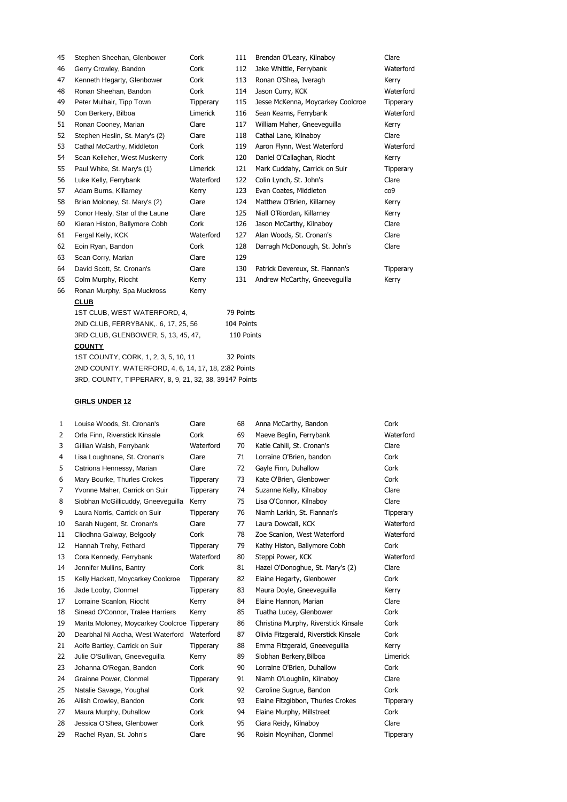| 45 | Stephen Sheehan, Glenbower          | Cork             | 111        | Brendan O'Leary, Kilnaboy         | Clare     |  |  |
|----|-------------------------------------|------------------|------------|-----------------------------------|-----------|--|--|
| 46 | Gerry Crowley, Bandon               | Cork             | 112        | Jake Whittle, Ferrybank           | Waterford |  |  |
| 47 | Kenneth Hegarty, Glenbower          | Cork             | 113        | Ronan O'Shea, Iveragh             | Kerry     |  |  |
| 48 | Ronan Sheehan, Bandon               | Cork             | 114        | Jason Curry, KCK                  | Waterford |  |  |
| 49 | Peter Mulhair, Tipp Town            | <b>Tipperary</b> | 115        | Jesse McKenna, Moycarkey Coolcroe | Tipperary |  |  |
| 50 | Con Berkery, Bilboa                 | Limerick         | 116        | Sean Kearns, Ferrybank            | Waterford |  |  |
| 51 | Ronan Cooney, Marian                | Clare            | 117        | William Maher, Gneeveguilla       | Kerry     |  |  |
| 52 | Stephen Heslin, St. Mary's (2)      | Clare            | 118        | Cathal Lane, Kilnaboy             | Clare     |  |  |
| 53 | Cathal McCarthy, Middleton          | Cork             | 119        | Aaron Flynn, West Waterford       | Waterford |  |  |
| 54 | Sean Kelleher, West Muskerry        | Cork             | 120        | Daniel O'Callaghan, Riocht        | Kerry     |  |  |
| 55 | Paul White, St. Mary's (1)          | Limerick         | 121        | Mark Cuddahy, Carrick on Suir     | Tipperary |  |  |
| 56 | Luke Kelly, Ferrybank               | Waterford        | 122        | Colin Lynch, St. John's           | Clare     |  |  |
| 57 | Adam Burns, Killarney               | Kerry            | 123        | Evan Coates, Middleton            | co9       |  |  |
| 58 | Brian Moloney, St. Mary's (2)       | Clare            | 124        | Matthew O'Brien, Killarney        | Kerry     |  |  |
| 59 | Conor Healy, Star of the Laune      | Clare            | 125        | Niall O'Riordan, Killarney        | Kerry     |  |  |
| 60 | Kieran Histon, Ballymore Cobh       | Cork             | 126        | Jason McCarthy, Kilnaboy          | Clare     |  |  |
| 61 | Fergal Kelly, KCK                   | Waterford        | 127        | Alan Woods, St. Cronan's          | Clare     |  |  |
| 62 | Eoin Ryan, Bandon                   | Cork             | 128        | Darragh McDonough, St. John's     | Clare     |  |  |
| 63 | Sean Corry, Marian                  | Clare            | 129        |                                   |           |  |  |
| 64 | David Scott, St. Cronan's           | Clare            | 130        | Patrick Devereux, St. Flannan's   | Tipperary |  |  |
| 65 | Colm Murphy, Riocht                 | Kerry            | 131        | Andrew McCarthy, Gneeveguilla     | Kerry     |  |  |
| 66 | Ronan Murphy, Spa Muckross          | Kerry            |            |                                   |           |  |  |
|    | <b>CLUB</b>                         |                  |            |                                   |           |  |  |
|    | 1ST CLUB, WEST WATERFORD, 4,        |                  | 79 Points  |                                   |           |  |  |
|    | 2ND CLUB, FERRYBANK., 6, 17, 25, 56 |                  | 104 Points |                                   |           |  |  |

**COUNTY** 1ST COUNTY, CORK, 1, 2, 3, 5, 10, 11 32 Points 2ND COUNTY, WATERFORD, 4, 6, 14, 17, 18, 2382 Points 3RD, COUNTY, TIPPERARY, 8, 9, 21, 32, 38, 39 147 Points

3RD CLUB, GLENBOWER, 5, 13, 45, 47, 110 Points

| 1  | Louise Woods, St. Cronan's                   | Clare     | 68 | Anna McCarthy, Bandon                 | Cork      |
|----|----------------------------------------------|-----------|----|---------------------------------------|-----------|
| 2  | Orla Finn, Riverstick Kinsale                | Cork      | 69 | Maeve Beglin, Ferrybank               | Waterford |
| 3  | Gillian Walsh, Ferrybank                     | Waterford | 70 | Katie Cahill, St. Cronan's            | Clare     |
| 4  | Lisa Loughnane, St. Cronan's                 | Clare     | 71 | Lorraine O'Brien, bandon              | Cork      |
| 5  | Catriona Hennessy, Marian                    | Clare     | 72 | Gayle Finn, Duhallow                  | Cork      |
| 6  | Mary Bourke, Thurles Crokes                  | Tipperary | 73 | Kate O'Brien, Glenbower               | Cork      |
| 7  | Yvonne Maher, Carrick on Suir                | Tipperary | 74 | Suzanne Kelly, Kilnaboy               | Clare     |
| 8  | Siobhan McGillicuddy, Gneeveguilla           | Kerry     | 75 | Lisa O'Connor, Kilnaboy               | Clare     |
| 9  | Laura Norris, Carrick on Suir                | Tipperary | 76 | Niamh Larkin, St. Flannan's           | Tipperary |
| 10 | Sarah Nugent, St. Cronan's                   | Clare     | 77 | Laura Dowdall, KCK                    | Waterford |
| 11 | Cliodhna Galway, Belgooly                    | Cork      | 78 | Zoe Scanlon, West Waterford           | Waterford |
| 12 | Hannah Trehy, Fethard                        | Tipperary | 79 | Kathy Histon, Ballymore Cobh          | Cork      |
| 13 | Cora Kennedy, Ferrybank                      | Waterford | 80 | Steppi Power, KCK                     | Waterford |
| 14 | Jennifer Mullins, Bantry                     | Cork      | 81 | Hazel O'Donoghue, St. Mary's (2)      | Clare     |
| 15 | Kelly Hackett, Moycarkey Coolcroe            | Tipperary | 82 | Elaine Hegarty, Glenbower             | Cork      |
| 16 | Jade Looby, Clonmel                          | Tipperary | 83 | Maura Doyle, Gneeveguilla             | Kerry     |
| 17 | Lorraine Scanlon, Riocht                     | Kerry     | 84 | Elaine Hannon, Marian                 | Clare     |
| 18 | Sinead O'Connor, Tralee Harriers             | Kerry     | 85 | Tuatha Lucey, Glenbower               | Cork      |
| 19 | Marita Moloney, Moycarkey Coolcroe Tipperary |           | 86 | Christina Murphy, Riverstick Kinsale  | Cork      |
| 20 | Dearbhal Ni Aocha, West Waterford            | Waterford | 87 | Olivia Fitzgerald, Riverstick Kinsale | Cork      |
| 21 | Aoife Bartley, Carrick on Suir               | Tipperary | 88 | Emma Fitzgerald, Gneeveguilla         | Kerry     |
| 22 | Julie O'Sullivan, Gneeveguilla               | Kerry     | 89 | Siobhan Berkery, Bilboa               | Limerick  |
| 23 | Johanna O'Regan, Bandon                      | Cork      | 90 | Lorraine O'Brien, Duhallow            | Cork      |
| 24 | Grainne Power, Clonmel                       | Tipperary | 91 | Niamh O'Loughlin, Kilnaboy            | Clare     |
| 25 | Natalie Savage, Youghal                      | Cork      | 92 | Caroline Sugrue, Bandon               | Cork      |
| 26 | Ailish Crowley, Bandon                       | Cork      | 93 | Elaine Fitzgibbon, Thurles Crokes     | Tipperary |
| 27 | Maura Murphy, Duhallow                       | Cork      | 94 | Elaine Murphy, Millstreet             | Cork      |
| 28 | Jessica O'Shea, Glenbower                    | Cork      | 95 | Ciara Reidy, Kilnaboy                 | Clare     |
| 29 | Rachel Ryan, St. John's                      | Clare     | 96 | Roisin Moynihan, Clonmel              | Tipperary |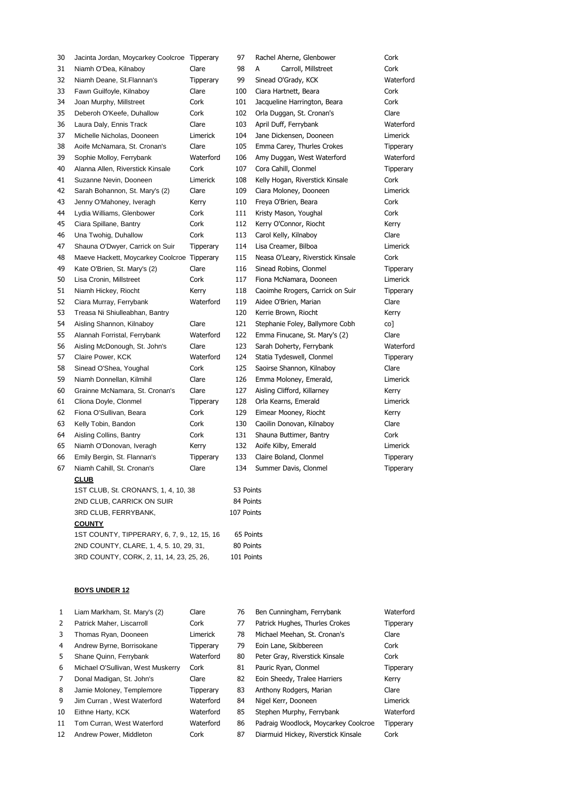| 30 | Jacinta Jordan, Moycarkey Coolcroe Tipperary |           | 97         | Rachel Aherne, Glenbower          | Cork             |
|----|----------------------------------------------|-----------|------------|-----------------------------------|------------------|
| 31 | Niamh O'Dea, Kilnaboy                        | Clare     | 98         | А<br>Carroll, Millstreet          | Cork             |
| 32 | Niamh Deane, St. Flannan's                   | Tipperary | 99         | Sinead O'Grady, KCK               | Waterford        |
| 33 | Fawn Guilfoyle, Kilnaboy                     | Clare     | 100        | Ciara Hartnett, Beara             | Cork             |
| 34 | Joan Murphy, Millstreet                      | Cork      | 101        | Jacqueline Harrington, Beara      | Cork             |
| 35 | Deberoh O'Keefe, Duhallow                    | Cork      | 102        | Orla Duggan, St. Cronan's         | Clare            |
| 36 | Laura Daly, Ennis Track                      | Clare     | 103        | April Duff, Ferrybank             | Waterford        |
| 37 | Michelle Nicholas, Dooneen                   | Limerick  | 104        | Jane Dickensen, Dooneen           | Limerick         |
| 38 | Aoife McNamara, St. Cronan's                 | Clare     | 105        | Emma Carey, Thurles Crokes        | Tipperary        |
| 39 | Sophie Molloy, Ferrybank                     | Waterford | 106        | Amy Duggan, West Waterford        | Waterford        |
| 40 | Alanna Allen, Riverstick Kinsale             | Cork      | 107        | Cora Cahill, Clonmel              | Tipperary        |
| 41 | Suzanne Nevin, Dooneen                       | Limerick  | 108        | Kelly Hogan, Riverstick Kinsale   | Cork             |
| 42 | Sarah Bohannon, St. Mary's (2)               | Clare     | 109        | Ciara Moloney, Dooneen            | Limerick         |
| 43 | Jenny O'Mahoney, Iveragh                     | Kerry     | 110        | Freya O'Brien, Beara              | Cork             |
| 44 | Lydia Williams, Glenbower                    | Cork      | 111        | Kristy Mason, Youghal             | Cork             |
| 45 | Ciara Spillane, Bantry                       | Cork      | 112        | Kerry O'Connor, Riocht            | Kerry            |
| 46 | Una Twohig, Duhallow                         | Cork      | 113        | Carol Kelly, Kilnaboy             | Clare            |
| 47 | Shauna O'Dwyer, Carrick on Suir              | Tipperary | 114        | Lisa Creamer, Bilboa              | Limerick         |
| 48 | Maeve Hackett, Moycarkey Coolcroe Tipperary  |           | 115        | Neasa O'Leary, Riverstick Kinsale | Cork             |
| 49 | Kate O'Brien, St. Mary's (2)                 | Clare     | 116        | Sinead Robins, Clonmel            | <b>Tipperary</b> |
| 50 | Lisa Cronin, Millstreet                      | Cork      | 117        | Fiona McNamara, Dooneen           | Limerick         |
| 51 | Niamh Hickey, Riocht                         | Kerry     | 118        | Caoimhe Rrogers, Carrick on Suir  | Tipperary        |
| 52 | Ciara Murray, Ferrybank                      | Waterford | 119        | Aidee O'Brien, Marian             | Clare            |
| 53 | Treasa Ni Shiulleabhan, Bantry               |           | 120        | Kerrie Brown, Riocht              | Kerry            |
| 54 | Aisling Shannon, Kilnaboy                    | Clare     | 121        | Stephanie Foley, Ballymore Cobh   | co]              |
| 55 | Alannah Forristal, Ferrybank                 | Waterford | 122        | Emma Finucane, St. Mary's (2)     | Clare            |
| 56 | Aisling McDonough, St. John's                | Clare     | 123        | Sarah Doherty, Ferrybank          | Waterford        |
| 57 | Claire Power, KCK                            | Waterford | 124        | Statia Tydeswell, Clonmel         | <b>Tipperary</b> |
| 58 | Sinead O'Shea, Youghal                       | Cork      | 125        | Saoirse Shannon, Kilnaboy         | Clare            |
| 59 | Niamh Donnellan, Kilmihil                    | Clare     | 126        | Emma Moloney, Emerald,            | Limerick         |
| 60 | Grainne McNamara, St. Cronan's               | Clare     | 127        | Aisling Clifford, Killarney       | Kerry            |
| 61 | Cliona Doyle, Clonmel                        | Tipperary | 128        | Orla Kearns, Emerald              | Limerick         |
| 62 | Fiona O'Sullivan, Beara                      | Cork      | 129        | Eimear Mooney, Riocht             | Kerry            |
| 63 | Kelly Tobin, Bandon                          | Cork      | 130        | Caoilin Donovan, Kilnaboy         | Clare            |
| 64 | Aisling Collins, Bantry                      | Cork      | 131        | Shauna Buttimer, Bantry           | Cork             |
| 65 | Niamh O'Donovan, Iveragh                     | Kerry     | 132        | Aoife Kilby, Emerald              | Limerick         |
| 66 | Emily Bergin, St. Flannan's                  | Tipperary | 133        | Claire Boland, Clonmel            | Tipperary        |
| 67 | Niamh Cahill, St. Cronan's                   | Clare     | 134        | Summer Davis, Clonmel             | Tipperary        |
|    | <b>CLUB</b>                                  |           |            |                                   |                  |
|    | 1ST CLUB, St. CRONAN'S, 1, 4, 10, 38         |           | 53 Points  |                                   |                  |
|    | 2ND CLUB, CARRICK ON SUIR                    |           | 84 Points  |                                   |                  |
|    | 3RD CLUB, FERRYBANK,                         |           | 107 Points |                                   |                  |
|    | <b>COUNTY</b>                                |           |            |                                   |                  |

1ST COUNTY, TIPPERARY, 6, 7, 9., 12, 15, 16 65 Points 2ND COUNTY, CLARE, 1, 4, 5. 10, 29, 31, 80 Points 3RD COUNTY, CORK, 2, 11, 14, 23, 25, 26, 101 Points

| $\mathbf{1}$ | Liam Markham, St. Mary's (2)      | Clare     | 76 | Ben Cunningham, Ferrybank            | Waterford |
|--------------|-----------------------------------|-----------|----|--------------------------------------|-----------|
| 2            | Patrick Maher, Liscarroll         | Cork      | 77 | Patrick Hughes, Thurles Crokes       | Tipperary |
| 3            | Thomas Ryan, Dooneen              | Limerick  | 78 | Michael Meehan, St. Cronan's         | Clare     |
| 4            | Andrew Byrne, Borrisokane         | Tipperary | 79 | Eoin Lane, Skibbereen                | Cork      |
| 5.           | Shane Quinn, Ferrybank            | Waterford | 80 | Peter Gray, Riverstick Kinsale       | Cork      |
| 6            | Michael O'Sullivan, West Muskerry | Cork      | 81 | Pauric Ryan, Clonmel                 | Tipperary |
| 7            | Donal Madigan, St. John's         | Clare     | 82 | Eoin Sheedy, Tralee Harriers         | Kerry     |
| 8            | Jamie Moloney, Templemore         | Tipperary | 83 | Anthony Rodgers, Marian              | Clare     |
| 9            | Jim Curran . West Waterford       | Waterford | 84 | Nigel Kerr, Dooneen                  | Limerick  |
| 10           | Eithne Harty, KCK                 | Waterford | 85 | Stephen Murphy, Ferrybank            | Waterford |
| 11           | Tom Curran, West Waterford        | Waterford | 86 | Padraig Woodlock, Moycarkey Coolcroe | Tipperary |
| 12           | Andrew Power, Middleton           | Cork      | 87 | Diarmuid Hickey, Riverstick Kinsale  | Cork      |
|              |                                   |           |    |                                      |           |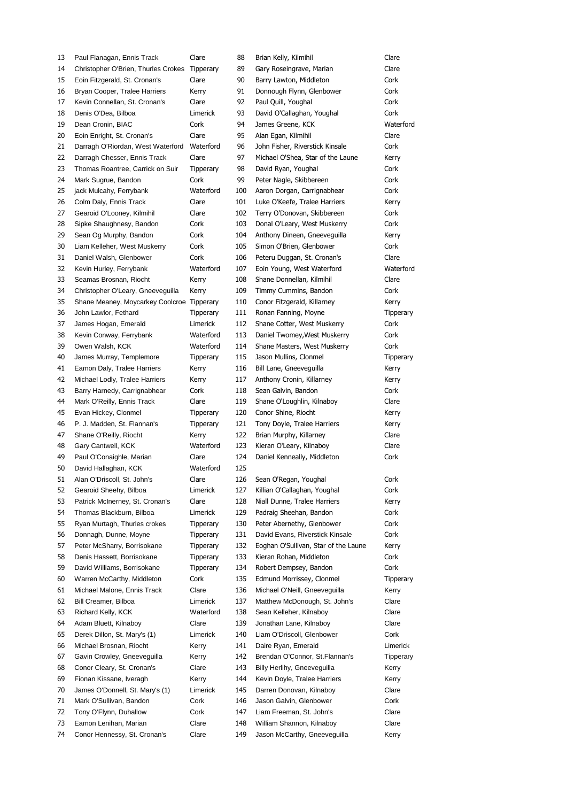| 13 | Paul Flanagan, Ennis Track                 | Clare            | 88  | Brian Kelly, Kilmihil                | Clare     |
|----|--------------------------------------------|------------------|-----|--------------------------------------|-----------|
| 14 | Christopher O'Brien, Thurles Crokes        | <b>Tipperary</b> | 89  | Gary Roseingrave, Marian             | Clare     |
| 15 | Eoin Fitzgerald, St. Cronan's              | Clare            | 90  | Barry Lawton, Middleton              | Cork      |
| 16 | Bryan Cooper, Tralee Harriers              | Kerry            | 91  | Donnough Flynn, Glenbower            | Cork      |
| 17 | Kevin Connellan, St. Cronan's              | Clare            | 92  | Paul Quill, Youghal                  | Cork      |
| 18 | Denis O'Dea, Bilboa                        | Limerick         | 93  | David O'Callaghan, Youghal           | Cork      |
| 19 | Dean Cronin, BIAC                          | Cork             | 94  | James Greene, KCK                    | Waterford |
| 20 | Eoin Enright, St. Cronan's                 | Clare            | 95  | Alan Egan, Kilmihil                  | Clare     |
| 21 | Darragh O'Riordan, West Waterford          | Waterford        | 96  | John Fisher, Riverstick Kinsale      | Cork      |
| 22 | Darragh Chesser, Ennis Track               | Clare            | 97  | Michael O'Shea, Star of the Laune    | Kerry     |
| 23 | Thomas Roantree, Carrick on Suir           | <b>Tipperary</b> | 98  | David Ryan, Youghal                  | Cork      |
| 24 | Mark Sugrue, Bandon                        | Cork             | 99  | Peter Nagle, Skibbereen              | Cork      |
| 25 | jack Mulcahy, Ferrybank                    | Waterford        | 100 | Aaron Dorgan, Carrignabhear          | Cork      |
| 26 | Colm Daly, Ennis Track                     | Clare            | 101 | Luke O'Keefe, Tralee Harriers        | Kerry     |
| 27 | Gearoid O'Looney, Kilmihil                 | Clare            | 102 | Terry O'Donovan, Skibbereen          | Cork      |
| 28 | Sipke Shaughnesy, Bandon                   | Cork             | 103 | Donal O'Leary, West Muskerry         | Cork      |
| 29 |                                            | Cork             | 104 | Anthony Dineen, Gneeveguilla         | Kerry     |
| 30 | Sean Og Murphy, Bandon                     | Cork             | 105 | Simon O'Brien, Glenbower             | Cork      |
|    | Liam Kelleher, West Muskerry               |                  |     |                                      |           |
| 31 | Daniel Walsh, Glenbower                    | Cork             | 106 | Peteru Duggan, St. Cronan's          | Clare     |
| 32 | Kevin Hurley, Ferrybank                    | Waterford        | 107 | Eoin Young, West Waterford           | Waterford |
| 33 | Seamas Brosnan, Riocht                     | Kerry            | 108 | Shane Donnellan, Kilmihil            | Clare     |
| 34 | Christopher O'Leary, Gneeveguilla          | Kerry            | 109 | Timmy Cummins, Bandon                | Cork      |
| 35 | Shane Meaney, Moycarkey Coolcroe Tipperary |                  | 110 | Conor Fitzgerald, Killarney          | Kerry     |
| 36 | John Lawlor, Fethard                       | Tipperary        | 111 | Ronan Fanning, Moyne                 | Tipperary |
| 37 | James Hogan, Emerald                       | Limerick         | 112 | Shane Cotter, West Muskerry          | Cork      |
| 38 | Kevin Conway, Ferrybank                    | Waterford        | 113 | Daniel Twomey, West Muskerry         | Cork      |
| 39 | Owen Walsh, KCK                            | Waterford        | 114 | Shane Masters, West Muskerry         | Cork      |
| 40 | James Murray, Templemore                   | Tipperary        | 115 | Jason Mullins, Clonmel               | Tipperary |
| 41 | Eamon Daly, Tralee Harriers                | Kerry            | 116 | Bill Lane, Gneeveguilla              | Kerry     |
| 42 | Michael Lodly, Tralee Harriers             | Kerry            | 117 | Anthony Cronin, Killarney            | Kerry     |
| 43 | Barry Harnedy, Carrignabhear               | Cork             | 118 | Sean Galvin, Bandon                  | Cork      |
| 44 | Mark O'Reilly, Ennis Track                 | Clare            | 119 | Shane O'Loughlin, Kilnaboy           | Clare     |
| 45 | Evan Hickey, Clonmel                       | Tipperary        | 120 | Conor Shine, Riocht                  | Kerry     |
| 46 | P. J. Madden, St. Flannan's                | Tipperary        | 121 | Tony Doyle, Tralee Harriers          | Kerry     |
| 47 | Shane O'Reilly, Riocht                     | Kerry            | 122 | Brian Murphy, Killarney              | Clare     |
| 48 | Gary Cantwell, KCK                         | Waterford        | 123 | Kieran O'Leary, Kilnaboy             | Clare     |
| 49 | Paul O'Conaighle, Marian                   | Clare            | 124 | Daniel Kenneally, Middleton          | Cork      |
| 50 | David Hallaghan, KCK                       | Waterford        | 125 |                                      |           |
| 51 | Alan O'Driscoll, St. John's                | Clare            | 126 | Sean O'Regan, Youghal                | Cork      |
| 52 | Gearoid Sheehy, Bilboa                     | Limerick         | 127 | Killian O'Callaghan, Youghal         | Cork      |
| 53 | Patrick McInerney, St. Cronan's            | Clare            | 128 | Niall Dunne, Tralee Harriers         | Kerry     |
| 54 | Thomas Blackburn, Bilboa                   | Limerick         | 129 | Padraig Sheehan, Bandon              | Cork      |
| 55 | Ryan Murtagh, Thurles crokes               | Tipperary        | 130 | Peter Abernethy, Glenbower           | Cork      |
| 56 | Donnagh, Dunne, Moyne                      | Tipperary        | 131 | David Evans, Riverstick Kinsale      | Cork      |
| 57 | Peter McSharry, Borrisokane                | Tipperary        | 132 | Eoghan O'Sullivan, Star of the Laune | Kerry     |
| 58 | Denis Hassett, Borrisokane                 | Tipperary        | 133 | Kieran Rohan, Middleton              | Cork      |
| 59 | David Williams, Borrisokane                | Tipperary        | 134 | Robert Dempsey, Bandon               | Cork      |
| 60 | Warren McCarthy, Middleton                 | Cork             | 135 | Edmund Morrissey, Clonmel            | Tipperary |
| 61 | Michael Malone, Ennis Track                | Clare            | 136 | Michael O'Neill, Gneeveguilla        | Kerry     |
| 62 | Bill Creamer, Bilboa                       | Limerick         | 137 | Matthew McDonough, St. John's        | Clare     |
| 63 | Richard Kelly, KCK                         | Waterford        | 138 | Sean Kelleher, Kilnaboy              | Clare     |
| 64 | Adam Bluett, Kilnaboy                      | Clare            | 139 | Jonathan Lane, Kilnaboy              | Clare     |
| 65 | Derek Dillon, St. Mary's (1)               | Limerick         | 140 | Liam O'Driscoll, Glenbower           | Cork      |
| 66 | Michael Brosnan, Riocht                    | Kerry            | 141 | Daire Ryan, Emerald                  | Limerick  |
| 67 | Gavin Crowley, Gneeveguilla                | Kerry            | 142 | Brendan O'Connor, St.Flannan's       | Tipperary |
| 68 | Conor Cleary, St. Cronan's                 | Clare            | 143 | Billy Herlihy, Gneeveguilla          | Kerry     |
|    |                                            |                  |     |                                      |           |
| 69 | Fionan Kissane, Iveragh                    | Kerry            | 144 | Kevin Doyle, Tralee Harriers         | Kerry     |
| 70 | James O'Donnell, St. Mary's (1)            | Limerick         | 145 | Darren Donovan, Kilnaboy             | Clare     |
| 71 | Mark O'Sullivan, Bandon                    | Cork             | 146 | Jason Galvin, Glenbower              | Cork      |
| 72 | Tony O'Flynn, Duhallow                     | Cork             | 147 | Liam Freeman, St. John's             | Clare     |
| 73 | Eamon Lenihan, Marian                      | Clare            | 148 | William Shannon, Kilnaboy            | Clare     |
| 74 | Conor Hennessy, St. Cronan's               | Clare            | 149 | Jason McCarthy, Gneeveguilla         | Kerry     |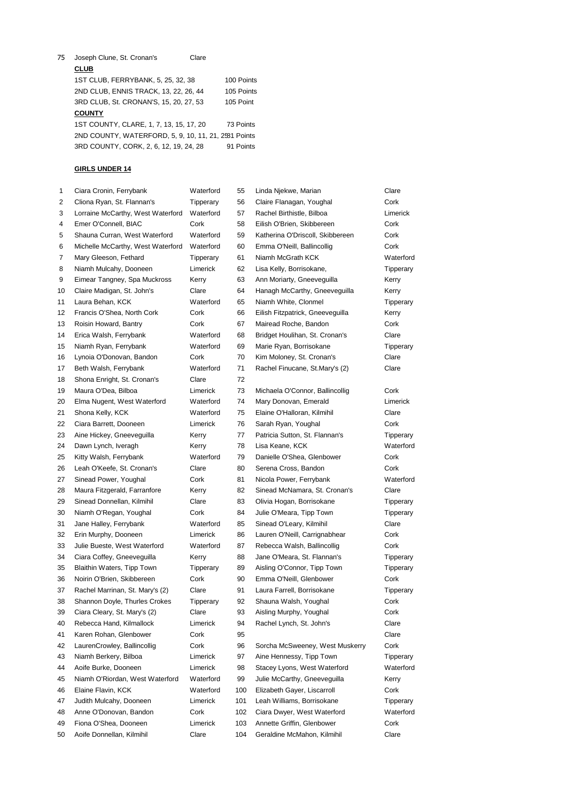Joseph Clune, St. Cronan's Clare **CLUB** 1ST CLUB, FERRYBANK, 5, 25, 32, 38 100 Points 2ND CLUB, ENNIS TRACK, 13, 22, 26, 44 105 Points 3RD CLUB, St. CRONAN'S, 15, 20, 27, 53 105 Point **COUNTY** 1ST COUNTY, CLARE, 1, 7, 13, 15, 17, 20 73 Points 2ND COUNTY, WATERFORD, 5, 9, 10, 11, 21, 2581 Points 3RD COUNTY, CORK, 2, 6, 12, 19, 24, 28 91 Points

| 1  | Ciara Cronin, Ferrybank           | Waterford | 55  | Linda Njekwe, Marian             | Clare            |
|----|-----------------------------------|-----------|-----|----------------------------------|------------------|
| 2  | Cliona Ryan, St. Flannan's        | Tipperary | 56  | Claire Flanagan, Youghal         | Cork             |
| 3  | Lorraine McCarthy, West Waterford | Waterford | 57  | Rachel Birthistle, Bilboa        | Limerick         |
| 4  | Emer O'Connell, BIAC              | Cork      | 58  | Eilish O'Brien, Skibbereen       | Cork             |
| 5  | Shauna Curran, West Waterford     | Waterford | 59  | Katherina O'Driscoll, Skibbereen | Cork             |
| 6  | Michelle McCarthy, West Waterford | Waterford | 60  | Emma O'Neill, Ballincollig       | Cork             |
| 7  | Mary Gleeson, Fethard             | Tipperary | 61  | Niamh McGrath KCK                | Waterford        |
| 8  | Niamh Mulcahy, Dooneen            | Limerick  | 62  | Lisa Kelly, Borrisokane,         | Tipperary        |
| 9  | Eimear Tangney, Spa Muckross      | Kerry     | 63  | Ann Moriarty, Gneeveguilla       | Kerry            |
| 10 | Claire Madigan, St. John's        | Clare     | 64  | Hanagh McCarthy, Gneeveguilla    | Kerry            |
| 11 | Laura Behan, KCK                  | Waterford | 65  | Niamh White, Clonmel             | Tipperary        |
| 12 | Francis O'Shea, North Cork        | Cork      | 66  | Eilish Fitzpatrick, Gneeveguilla | Kerry            |
| 13 | Roisin Howard, Bantry             | Cork      | 67  | Mairead Roche, Bandon            | Cork             |
| 14 | Erica Walsh, Ferrybank            | Waterford | 68  | Bridget Houlihan, St. Cronan's   | Clare            |
| 15 | Niamh Ryan, Ferrybank             | Waterford | 69  | Marie Ryan, Borrisokane          | <b>Tipperary</b> |
| 16 | Lynoia O'Donovan, Bandon          | Cork      | 70  | Kim Moloney, St. Cronan's        | Clare            |
| 17 | Beth Walsh, Ferrybank             | Waterford | 71  | Rachel Finucane, St.Mary's (2)   | Clare            |
| 18 | Shona Enright, St. Cronan's       | Clare     | 72  |                                  |                  |
| 19 | Maura O'Dea, Bilboa               | Limerick  | 73  | Michaela O'Connor, Ballincollig  | Cork             |
| 20 | Elma Nugent, West Waterford       | Waterford | 74  | Mary Donovan, Emerald            | Limerick         |
| 21 | Shona Kelly, KCK                  | Waterford | 75  | Elaine O'Halloran, Kilmihil      | Clare            |
| 22 | Ciara Barrett, Dooneen            | Limerick  | 76  | Sarah Ryan, Youghal              | Cork             |
| 23 | Aine Hickey, Gneeveguilla         | Kerry     | 77  | Patricia Sutton, St. Flannan's   | Tipperary        |
| 24 | Dawn Lynch, Iveragh               | Kerry     | 78  | Lisa Keane, KCK                  | Waterford        |
| 25 | Kitty Walsh, Ferrybank            | Waterford | 79  | Danielle O'Shea, Glenbower       | Cork             |
| 26 | Leah O'Keefe, St. Cronan's        | Clare     | 80  | Serena Cross, Bandon             | Cork             |
| 27 | Sinead Power, Youghal             | Cork      | 81  | Nicola Power, Ferrybank          | Waterford        |
| 28 | Maura Fitzgerald, Farranfore      | Kerry     | 82  | Sinead McNamara, St. Cronan's    | Clare            |
| 29 | Sinead Donnellan, Kilmihil        | Clare     | 83  | Olivia Hogan, Borrisokane        | Tipperary        |
| 30 | Niamh O'Regan, Youghal            | Cork      | 84  | Julie O'Meara, Tipp Town         | <b>Tipperary</b> |
| 31 | Jane Halley, Ferrybank            | Waterford | 85  | Sinead O'Leary, Kilmihil         | Clare            |
| 32 | Erin Murphy, Dooneen              | Limerick  | 86  | Lauren O'Neill, Carrignabhear    | Cork             |
| 33 | Julie Bueste, West Waterford      | Waterford | 87  | Rebecca Walsh, Ballincollig      | Cork             |
| 34 | Ciara Coffey, Gneeveguilla        | Kerry     | 88  | Jane O'Meara, St. Flannan's      | <b>Tipperary</b> |
| 35 | Blaithin Waters, Tipp Town        | Tipperary | 89  | Aisling O'Connor, Tipp Town      | <b>Tipperary</b> |
| 36 | Noirin O'Brien, Skibbereen        | Cork      | 90  | Emma O'Neill, Glenbower          | Cork             |
| 37 | Rachel Marrinan, St. Mary's (2)   | Clare     | 91  | Laura Farrell, Borrisokane       | Tipperary        |
| 38 | Shannon Doyle, Thurles Crokes     | Tipperary | 92  | Shauna Walsh, Youghal            | Cork             |
| 39 | Ciara Cleary, St. Mary's (2)      | Clare     | 93  | Aisling Murphy, Youghal          | Cork             |
| 40 | Rebecca Hand, Kilmallock          | Limerick  | 94  | Rachel Lynch, St. John's         | Clare            |
| 41 | Karen Rohan, Glenbower            | Cork      | 95  |                                  | Clare            |
| 42 | LaurenCrowley, Ballincollig       | Cork      | 96  | Sorcha McSweeney, West Muskerry  | Cork             |
| 43 | Niamh Berkery, Bilboa             | Limerick  | 97  | Aine Hennessy, Tipp Town         | <b>Tipperary</b> |
| 44 | Aoife Burke, Dooneen              | Limerick  | 98  | Stacey Lyons, West Waterford     | Waterford        |
| 45 | Niamh O'Riordan, West Waterford   | Waterford | 99  | Julie McCarthy, Gneeveguilla     | Kerry            |
| 46 | Elaine Flavin, KCK                | Waterford | 100 | Elizabeth Gayer, Liscarroll      | Cork             |
| 47 | Judith Mulcahy, Dooneen           | Limerick  | 101 | Leah Williams, Borrisokane       | <b>Tipperary</b> |
| 48 | Anne O'Donovan, Bandon            | Cork      | 102 | Ciara Dwyer, West Waterford      | Waterford        |
| 49 | Fiona O'Shea, Dooneen             | Limerick  | 103 | Annette Griffin, Glenbower       | Cork             |
| 50 | Aoife Donnellan, Kilmihil         | Clare     | 104 | Geraldine McMahon, Kilmihil      | Clare            |
|    |                                   |           |     |                                  |                  |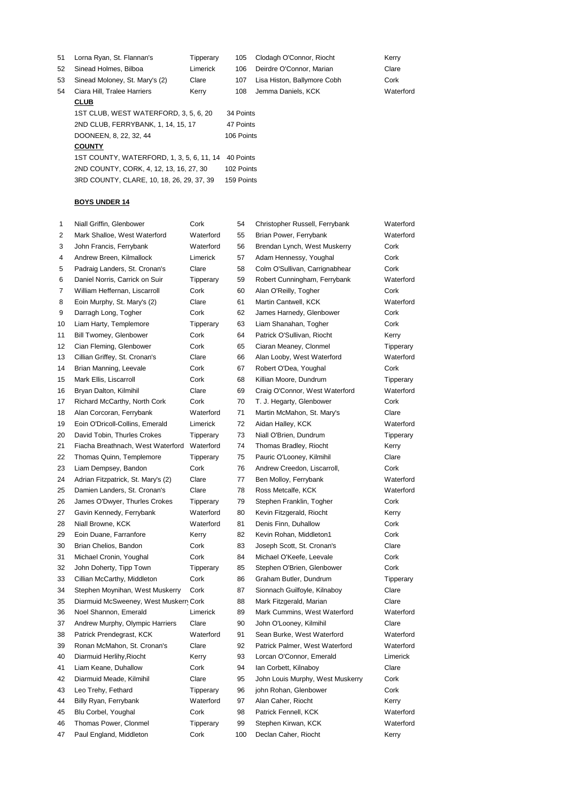| 51 | Lorna Ryan, St. Flannan's                                                            | Tipperary | 105        | Clodagh O'Connor, Riocht    | Kerry     |
|----|--------------------------------------------------------------------------------------|-----------|------------|-----------------------------|-----------|
| 52 | Sinead Holmes, Bilboa                                                                | Limerick  | 106        | Deirdre O'Connor, Marian    | Clare     |
| 53 | Sinead Moloney, St. Mary's (2)                                                       | Clare     | 107        | Lisa Histon, Ballymore Cobh | Cork      |
| 54 | Ciara Hill, Tralee Harriers                                                          | Kerry     | 108        | Jemma Daniels, KCK          | Waterford |
|    | <b>CLUB</b>                                                                          |           |            |                             |           |
|    | 1ST CLUB. WEST WATERFORD, 3, 5, 6, 20                                                |           | 34 Points  |                             |           |
|    | 2ND CLUB, FERRYBANK, 1, 14, 15, 17                                                   |           | 47 Points  |                             |           |
|    | DOONEEN, 8, 22, 32, 44                                                               |           | 106 Points |                             |           |
|    | <b>COUNTY</b>                                                                        |           |            |                             |           |
|    | 1ST COUNTY, WATERFORD, 1, 3, 5, 6, 11, 14<br>2ND COUNTY, CORK, 4, 12, 13, 16, 27, 30 |           | 40 Points  |                             |           |
|    |                                                                                      |           | 102 Points |                             |           |
|    | 3RD COUNTY, CLARE, 10, 18, 26, 29, 37, 39                                            |           | 159 Points |                             |           |
|    |                                                                                      |           |            |                             |           |

| 1  | Niall Griffin, Glenbower              | Cork      | 54  | Christopher Russell, Ferrybank   | Waterford |
|----|---------------------------------------|-----------|-----|----------------------------------|-----------|
| 2  | Mark Shalloe, West Waterford          | Waterford | 55  | Brian Power, Ferrybank           | Waterford |
| 3  | John Francis, Ferrybank               | Waterford | 56  | Brendan Lynch, West Muskerry     | Cork      |
| 4  | Andrew Breen, Kilmallock              | Limerick  | 57  | Adam Hennessy, Youghal           | Cork      |
| 5  | Padraig Landers, St. Cronan's         | Clare     | 58  | Colm O'Sullivan, Carrignabhear   | Cork      |
| 6  | Daniel Norris, Carrick on Suir        | Tipperary | 59  | Robert Cunningham, Ferrybank     | Waterford |
| 7  | William Heffernan, Liscarroll         | Cork      | 60  | Alan O'Reilly, Togher            | Cork      |
| 8  | Eoin Murphy, St. Mary's (2)           | Clare     | 61  | Martin Cantwell, KCK             | Waterford |
| 9  | Darragh Long, Togher                  | Cork      | 62  | James Harnedy, Glenbower         | Cork      |
| 10 | Liam Harty, Templemore                | Tipperary | 63  | Liam Shanahan, Togher            | Cork      |
| 11 | Bill Twomey, Glenbower                | Cork      | 64  | Patrick O'Sullivan, Riocht       | Kerry     |
| 12 | Cian Fleming, Glenbower               | Cork      | 65  | Ciaran Meaney, Clonmel           | Tipperary |
| 13 | Cillian Griffey, St. Cronan's         | Clare     | 66  | Alan Looby, West Waterford       | Waterford |
| 14 | Brian Manning, Leevale                | Cork      | 67  | Robert O'Dea, Youghal            | Cork      |
| 15 | Mark Ellis, Liscarroll                | Cork      | 68  | Killian Moore, Dundrum           | Tipperary |
| 16 | Bryan Dalton, Kilmihil                | Clare     | 69  | Craig O'Connor, West Waterford   | Waterford |
| 17 | Richard McCarthy, North Cork          | Cork      | 70  | T. J. Hegarty, Glenbower         | Cork      |
| 18 | Alan Corcoran, Ferrybank              | Waterford | 71  | Martin McMahon, St. Mary's       | Clare     |
| 19 | Eoin O'Dricoll-Collins, Emerald       | Limerick  | 72  | Aidan Halley, KCK                | Waterford |
| 20 | David Tobin, Thurles Crokes           | Tipperary | 73  | Niall O'Brien, Dundrum           | Tipperary |
| 21 | Fiacha Breathnach, West Waterford     | Waterford | 74  | Thomas Bradley, Riocht           | Kerry     |
| 22 | Thomas Quinn, Templemore              | Tipperary | 75  | Pauric O'Looney, Kilmihil        | Clare     |
| 23 | Liam Dempsey, Bandon                  | Cork      | 76  | Andrew Creedon, Liscarroll,      | Cork      |
| 24 | Adrian Fitzpatrick, St. Mary's (2)    | Clare     | 77  | Ben Molloy, Ferrybank            | Waterford |
| 25 | Damien Landers, St. Cronan's          | Clare     | 78  | Ross Metcalfe, KCK               | Waterford |
| 26 | James O'Dwyer, Thurles Crokes         | Tipperary | 79  | Stephen Franklin, Togher         | Cork      |
| 27 | Gavin Kennedy, Ferrybank              | Waterford | 80  | Kevin Fitzgerald, Riocht         | Kerry     |
| 28 | Niall Browne, KCK                     | Waterford | 81  | Denis Finn, Duhallow             | Cork      |
| 29 | Eoin Duane, Farranfore                | Kerry     | 82  | Kevin Rohan, Middleton1          | Cork      |
| 30 | Brian Chelios, Bandon                 | Cork      | 83  | Joseph Scott, St. Cronan's       | Clare     |
| 31 | Michael Cronin, Youghal               | Cork      | 84  | Michael O'Keefe, Leevale         | Cork      |
| 32 | John Doherty, Tipp Town               | Tipperary | 85  | Stephen O'Brien, Glenbower       | Cork      |
| 33 | Cillian McCarthy, Middleton           | Cork      | 86  | Graham Butler, Dundrum           | Tipperary |
| 34 | Stephen Moynihan, West Muskerry       | Cork      | 87  | Sionnach Guilfoyle, Kilnaboy     | Clare     |
| 35 | Diarmuid McSweeney, West Muskern Cork |           | 88  | Mark Fitzgerald, Marian          | Clare     |
| 36 | Noel Shannon, Emerald                 | Limerick  | 89  | Mark Cummins, West Waterford     | Waterford |
| 37 | Andrew Murphy, Olympic Harriers       | Clare     | 90  | John O'Looney, Kilmihil          | Clare     |
| 38 | Patrick Prendegrast, KCK              | Waterford | 91  | Sean Burke, West Waterford       | Waterford |
| 39 | Ronan McMahon, St. Cronan's           | Clare     | 92  | Patrick Palmer, West Waterford   | Waterford |
| 40 | Diarmuid Herlihy, Riocht              | Kerry     | 93  | Lorcan O'Connor, Emerald         | Limerick  |
| 41 | Liam Keane, Duhallow                  | Cork      | 94  | lan Corbett, Kilnaboy            | Clare     |
| 42 | Diarmuid Meade, Kilmihil              | Clare     | 95  | John Louis Murphy, West Muskerry | Cork      |
| 43 | Leo Trehy, Fethard                    | Tipperary | 96  | john Rohan, Glenbower            | Cork      |
| 44 | Billy Ryan, Ferrybank                 | Waterford | 97  | Alan Caher, Riocht               | Kerry     |
| 45 | Blu Corbel, Youghal                   | Cork      | 98  | Patrick Fennell, KCK             | Waterford |
| 46 | Thomas Power, Clonmel                 | Tipperary | 99  | Stephen Kirwan, KCK              | Waterford |
| 47 | Paul England, Middleton               | Cork      | 100 | Declan Caher, Riocht             | Kerry     |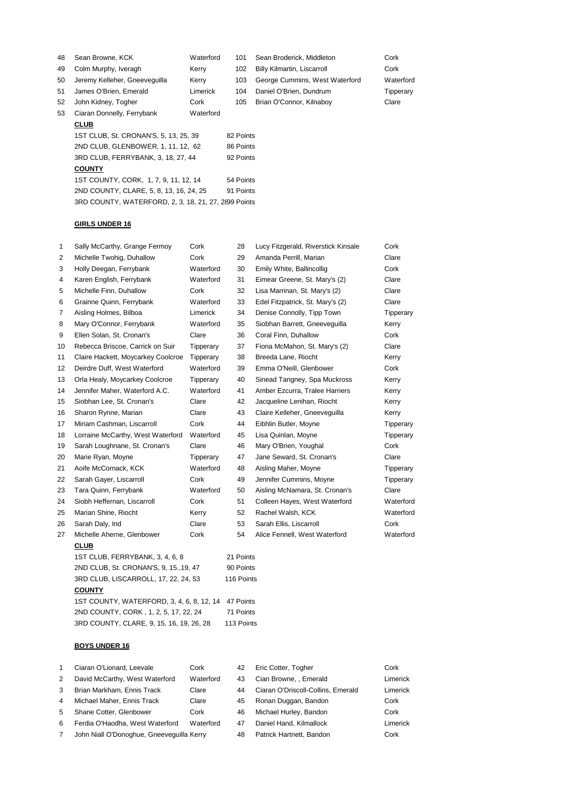| 48 | Sean Browne, KCK                      | Waterford | 101       | Sean Broderick, Middleton          | Cork      |
|----|---------------------------------------|-----------|-----------|------------------------------------|-----------|
| 49 | Colm Murphy, Iveragh                  | Kerry     | 102       | <b>Billy Kilmartin, Liscarroll</b> | Cork      |
| 50 | Jeremy Kelleher, Gneeveguilla         | Kerry     | 103       | George Cummins, West Waterford     | Waterford |
| 51 | James O'Brien, Emerald                | Limerick  | 104       | Daniel O'Brien, Dundrum            | Tipperary |
| 52 | John Kidney, Togher                   | Cork      | 105       | Brian O'Connor, Kilnaboy           | Clare     |
| 53 | Ciaran Donnelly, Ferrybank            | Waterford |           |                                    |           |
|    | <b>CLUB</b>                           |           |           |                                    |           |
|    | 1ST CLUB, St. CRONAN'S, 5, 13, 25, 39 |           | 82 Points |                                    |           |
|    | 2ND CLUB, GLENBOWER, 1, 11, 12, 62    |           | 86 Points |                                    |           |

3RD CLUB, FERRYBANK, 3, 18, 27, 44 92 Points

1ST COUNTY, CORK, 1, 7, 9, 11, 12, 14 54 Points 2ND COUNTY, CLARE, 5, 8, 13, 16, 24, 25 91 Points 3RD COUNTY, WATERFORD, 2, 3, 18, 21, 27, 2899 Points

# **GIRLS UNDER 16**

**COUNTY**

| 1              | Sally McCarthy, Grange Fermoy          | Cork             | 28        | Lucy Fitzgerald, Riverstick Kinsale | Cork      |  |
|----------------|----------------------------------------|------------------|-----------|-------------------------------------|-----------|--|
| 2              | Michelle Twohig, Duhallow              | Cork             | 29        | Amanda Perrill, Marian              | Clare     |  |
| 3              | Holly Deegan, Ferrybank                | Waterford        | 30        | Emily White, Ballincollig           | Cork      |  |
| 4              | Karen English, Ferrybank               | Waterford        | 31        | Eimear Greene, St. Mary's (2)       | Clare     |  |
| 5              | Michelle Finn, Duhallow                | Cork             | 32        | Lisa Marrinan, St. Mary's (2)       | Clare     |  |
| 6              | Grainne Quinn, Ferrybank               | Waterford        | 33        | Edel Fitzpatrick, St. Mary's (2)    | Clare     |  |
| $\overline{7}$ | Aisling Holmes, Bilboa                 | Limerick         | 34        | Denise Connolly, Tipp Town          | Tipperary |  |
| 8              | Mary O'Connor, Ferrybank               | Waterford        | 35        | Siobhan Barrett, Gneeveguilla       | Kerry     |  |
| 9              | Ellen Solan, St. Cronan's              | Clare            | 36        | Coral Finn, Duhallow                | Cork      |  |
| 10             | Rebecca Briscoe, Carrick on Suir       | Tipperary        | 37        | Fiona McMahon, St. Mary's (2)       | Clare     |  |
| 11             | Claire Hackett, Moycarkey Coolcroe     | Tipperary        | 38        | Breeda Lane, Riocht                 | Kerry     |  |
| 12             | Deirdre Duff, West Waterford           | Waterford        | 39        | Emma O'Neill, Glenbower             | Cork      |  |
| 13             | Orla Healy, Moycarkey Coolcroe         | Tipperary        | 40        | Sinead Tangney, Spa Muckross        | Kerry     |  |
| 14             | Jennifer Maher, Waterford A.C.         | Waterford        | 41        | Amber Ezcurra, Tralee Harriers      | Kerry     |  |
| 15             | Siobhan Lee, St. Cronan's              | Clare            | 42        | Jacqueline Lenihan, Riocht          | Kerry     |  |
| 16             | Sharon Rynne, Marian                   | Clare            | 43        | Claire Kelleher, Gneevequilla       | Kerry     |  |
| 17             | Miriam Cashman, Liscarroll             | Cork             | 44        | Eibhlin Butler, Moyne               | Tipperary |  |
| 18             | Lorraine McCarthy, West Waterford      | Waterford        | 45        | Lisa Quinlan, Moyne                 | Tipperary |  |
| 19             | Sarah Loughnane, St. Cronan's          | Clare            | 46        | Mary O'Brien, Youghal               | Cork      |  |
| 20             | Marie Ryan, Moyne                      | <b>Tipperary</b> | 47        | Jane Seward, St. Cronan's           | Clare     |  |
| 21             | Aoife McCornack, KCK                   | Waterford        | 48        | Aisling Maher, Moyne                | Tipperary |  |
| 22             | Sarah Gayer, Liscarroll                | Cork             | 49        | Jennifer Cummins, Moyne             | Tipperary |  |
| 23             | Tara Quinn, Ferrybank                  | Waterford        | 50        | Aisling McNamara, St. Cronan's      | Clare     |  |
| 24             | Siobh Heffernan, Liscarroll            | Cork             | 51        | Colleen Hayes, West Waterford       | Waterford |  |
| 25             | Marian Shine, Riocht                   | Kerry            | 52        | Rachel Walsh, KCK                   | Waterford |  |
| 26             | Sarah Daly, Ind                        | Clare            | 53        | Sarah Ellis, Liscarroll             | Cork      |  |
| 27             | Michelle Aherne, Glenbower             | Cork             | 54        | Alice Fennell, West Waterford       | Waterford |  |
|                | <b>CLUB</b>                            |                  |           |                                     |           |  |
|                | 1ST CLUB, FERRYBANK, 3, 4, 6, 8        |                  | 21 Points |                                     |           |  |
|                | 2ND CLUB, St. CRONAN'S, 9, 15., 19, 47 |                  | 90 Points |                                     |           |  |

3RD CLUB, LISCARROLL, 17, 22, 24, 53 116 Points **COUNTY** 1ST COUNTY, WATERFORD, 3, 4, 6, 8, 12, 14 47 Points 2ND COUNTY, CORK , 1, 2, 5, 17, 22, 24 71 Points 3RD COUNTY, CLARE, 9, 15, 16, 19, 26, 28 113 Points

#### **BOYS UNDER 16**

| -1             | Ciaran O'Lionard, Leevale                 | Cork      | 42 | Eric Cotter, Togher                | Cork     |
|----------------|-------------------------------------------|-----------|----|------------------------------------|----------|
| 2              | David McCarthy, West Waterford            | Waterford | 43 | Cian Browne, , Emerald             | Limerick |
| 3              | Brian Markham, Ennis Track                | Clare     | 44 | Ciaran O'Driscoll-Collins, Emerald | Limerick |
| $\overline{4}$ | Michael Maher, Ennis Track                | Clare     | 45 | Ronan Duggan, Bandon               | Cork     |
| 5              | Shane Cotter, Glenbower                   | Cork      | 46 | Michael Hurley, Bandon             | Cork     |
| 6              | Ferdia O'Haodha, West Waterford           | Waterford | 47 | Daniel Hand, Kilmallock            | Limerick |
| $\overline{7}$ | John Niall O'Donoghue, Gneeveguilla Kerry |           | 48 | Patrick Hartnett, Bandon           | Cork     |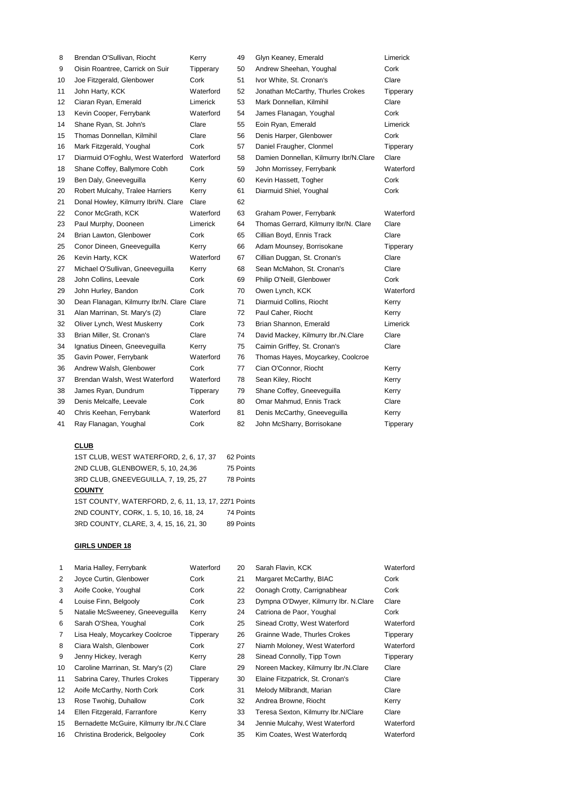| 8  | Brendan O'Sullivan, Riocht                 | Kerry     | 49 | Glyn Keaney, Emerald                   | Limerick  |
|----|--------------------------------------------|-----------|----|----------------------------------------|-----------|
| 9  | Oisin Roantree, Carrick on Suir            | Tipperary | 50 | Andrew Sheehan, Youghal                | Cork      |
| 10 | Joe Fitzgerald, Glenbower                  | Cork      | 51 | Ivor White, St. Cronan's               | Clare     |
| 11 | John Harty, KCK                            | Waterford | 52 | Jonathan McCarthy, Thurles Crokes      | Tipperary |
| 12 | Ciaran Ryan, Emerald                       | Limerick  | 53 | Mark Donnellan, Kilmihil               | Clare     |
| 13 | Kevin Cooper, Ferrybank                    | Waterford | 54 | James Flanagan, Youghal                | Cork      |
| 14 | Shane Ryan, St. John's                     | Clare     | 55 | Eoin Ryan, Emerald                     | Limerick  |
| 15 | Thomas Donnellan, Kilmihil                 | Clare     | 56 | Denis Harper, Glenbower                | Cork      |
| 16 | Mark Fitzgerald, Youghal                   | Cork      | 57 | Daniel Fraugher, Clonmel               | Tipperary |
| 17 | Diarmuid O'Foghlu, West Waterford          | Waterford | 58 | Damien Donnellan, Kilmurry Ibr/N.Clare | Clare     |
| 18 | Shane Coffey, Ballymore Cobh               | Cork      | 59 | John Morrissey, Ferrybank              | Waterford |
| 19 | Ben Daly, Gneeveguilla                     | Kerry     | 60 | Kevin Hassett, Togher                  | Cork      |
| 20 | Robert Mulcahy, Tralee Harriers            | Kerry     | 61 | Diarmuid Shiel, Youghal                | Cork      |
| 21 | Donal Howley, Kilmurry Ibri/N. Clare       | Clare     | 62 |                                        |           |
| 22 | Conor McGrath, KCK                         | Waterford | 63 | Graham Power, Ferrybank                | Waterford |
| 23 | Paul Murphy, Dooneen                       | Limerick  | 64 | Thomas Gerrard, Kilmurry Ibr/N. Clare  | Clare     |
| 24 | Brian Lawton, Glenbower                    | Cork      | 65 | Cillian Boyd, Ennis Track              | Clare     |
| 25 | Conor Dineen, Gneeveguilla                 | Kerry     | 66 | Adam Mounsey, Borrisokane              | Tipperary |
| 26 | Kevin Harty, KCK                           | Waterford | 67 | Cillian Duggan, St. Cronan's           | Clare     |
| 27 | Michael O'Sullivan, Gneevequilla           | Kerry     | 68 | Sean McMahon, St. Cronan's             | Clare     |
| 28 | John Collins, Leevale                      | Cork      | 69 | Philip O'Neill, Glenbower              | Cork      |
| 29 | John Hurley, Bandon                        | Cork      | 70 | Owen Lynch, KCK                        | Waterford |
| 30 | Dean Flanagan, Kilmurry Ibr/N. Clare Clare |           | 71 | Diarmuid Collins, Riocht               | Kerry     |
| 31 | Alan Marrinan, St. Mary's (2)              | Clare     | 72 | Paul Caher, Riocht                     | Kerry     |
| 32 | Oliver Lynch, West Muskerry                | Cork      | 73 | Brian Shannon, Emerald                 | Limerick  |
| 33 | Brian Miller, St. Cronan's                 | Clare     | 74 | David Mackey, Kilmurry Ibr./N.Clare    | Clare     |
| 34 | Ignatius Dineen, Gneeveguilla              | Kerry     | 75 | Caimin Griffey, St. Cronan's           | Clare     |
| 35 | Gavin Power, Ferrybank                     | Waterford | 76 | Thomas Hayes, Moycarkey, Coolcroe      |           |
| 36 | Andrew Walsh, Glenbower                    | Cork      | 77 | Cian O'Connor, Riocht                  | Kerry     |
| 37 | Brendan Walsh, West Waterford              | Waterford | 78 | Sean Kiley, Riocht                     | Kerry     |
| 38 | James Ryan, Dundrum                        | Tipperary | 79 | Shane Coffey, Gneeveguilla             | Kerry     |
| 39 | Denis Melcalfe, Leevale                    | Cork      | 80 | Omar Mahmud, Ennis Track               | Clare     |
| 40 | Chris Keehan, Ferrybank                    | Waterford | 81 | Denis McCarthy, Gneeveguilla           | Kerry     |
| 41 | Ray Flanagan, Youghal                      | Cork      | 82 | John McSharry, Borrisokane             | Tipperary |

# **CLUB**

| 1ST CLUB, WEST WATERFORD, 2, 6, 17, 37               | 62 Points |
|------------------------------------------------------|-----------|
| 2ND CLUB. GLENBOWER, 5, 10, 24.36                    | 75 Points |
| 3RD CLUB, GNEEVEGUILLA, 7, 19, 25, 27                | 78 Points |
| <b>COUNTY</b>                                        |           |
| 1ST COUNTY, WATERFORD, 2, 6, 11, 13, 17, 2271 Points |           |
| 2ND COUNTY, CORK, 1.5, 10, 16, 18, 24                | 74 Points |
| 3RD COUNTY, CLARE, 3, 4, 15, 16, 21, 30              | 89 Points |

| $\mathbf{1}$   | Maria Halley, Ferrybank                     | Waterford | 20 | Sarah Flavin, KCK                     | Waterford |
|----------------|---------------------------------------------|-----------|----|---------------------------------------|-----------|
| 2              | Joyce Curtin, Glenbower                     | Cork      | 21 | Margaret McCarthy, BIAC               | Cork      |
| 3              | Aoife Cooke, Youghal                        | Cork      | 22 | Oonagh Crotty, Carrignabhear          | Cork      |
| 4              | Louise Finn, Belgooly                       | Cork      | 23 | Dympna O'Dwyer, Kilmurry Ibr. N.Clare | Clare     |
| 5              | Natalie McSweeney, Gneeveguilla             | Kerry     | 24 | Catriona de Paor, Youghal             | Cork      |
| 6              | Sarah O'Shea, Youghal                       | Cork      | 25 | Sinead Crotty, West Waterford         | Waterford |
| $\overline{7}$ | Lisa Healy, Moycarkey Coolcroe              | Tipperary | 26 | Grainne Wade, Thurles Crokes          | Tipperary |
| 8              | Ciara Walsh, Glenbower                      | Cork      | 27 | Niamh Moloney, West Waterford         | Waterford |
| 9              | Jenny Hickey, Iveragh                       | Kerry     | 28 | Sinead Connolly, Tipp Town            | Tipperary |
| 10             | Caroline Marrinan, St. Mary's (2)           | Clare     | 29 | Noreen Mackey, Kilmurry Ibr./N.Clare  | Clare     |
| 11             | Sabrina Carey, Thurles Crokes               | Tipperary | 30 | Elaine Fitzpatrick, St. Cronan's      | Clare     |
| 12             | Aoife McCarthy, North Cork                  | Cork      | 31 | Melody Milbrandt, Marian              | Clare     |
| 13             | Rose Twohig, Duhallow                       | Cork      | 32 | Andrea Browne, Riocht                 | Kerry     |
| 14             | Ellen Fitzgerald, Farranfore                | Kerry     | 33 | Teresa Sexton, Kilmurry Ibr.N/Clare   | Clare     |
| 15             | Bernadette McGuire, Kilmurry Ibr./N.C Clare |           | 34 | Jennie Mulcahy, West Waterford        | Waterford |
| 16             | Christina Broderick, Belgooley              | Cork      | 35 | Kim Coates, West Waterfordg           | Waterford |